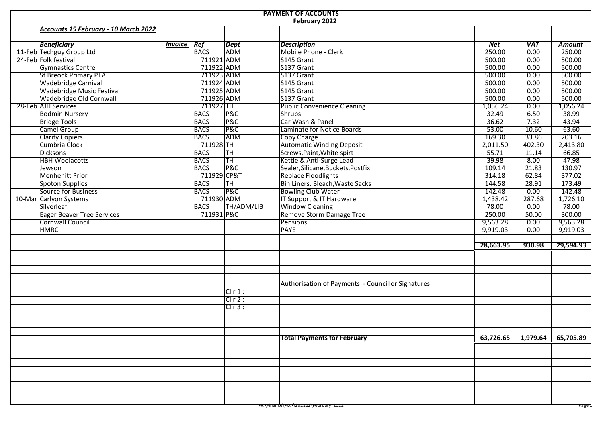|                                      |                |             |                | <b>PAYMENT OF ACCOUNTS</b>                               |            |                   |           |
|--------------------------------------|----------------|-------------|----------------|----------------------------------------------------------|------------|-------------------|-----------|
|                                      |                |             |                | February 2022                                            |            |                   |           |
| Accounts 15 February - 10 March 2022 |                |             |                |                                                          |            |                   |           |
|                                      |                |             |                |                                                          |            |                   |           |
| <b>Beneficiary</b>                   | <b>Invoice</b> | Ref         | <b>Dept</b>    | <b>Description</b>                                       | <b>Net</b> | <b>VAT</b>        | Amount    |
| 11-Feb Techguy Group Ltd             |                | <b>BACS</b> | ADM            | Mobile Phone - Clerk                                     | 250.00     | $\overline{0.00}$ | 250.00    |
| 24-Feb Folk festival                 |                |             | 711921 ADM     | S145 Grant                                               | 500.00     | 0.00              | 500.00    |
| <b>Gymnastics Centre</b>             |                |             | 711922 ADM     | S137 Grant                                               | 500.00     | 0.00              | 500.00    |
| <b>St Breock Primary PTA</b>         |                |             | 711923 ADM     | S137 Grant                                               | 500.00     | 0.00              | 500.00    |
| <b>Wadebridge Carnival</b>           |                |             | 711924 ADM     | S145 Grant                                               | 500.00     | 0.00              | 500.00    |
| <b>Wadebridge Music Festival</b>     |                |             | 711925 ADM     | S145 Grant                                               | 500.00     | 0.00              | 500.00    |
| Wadebridge Old Cornwall              |                |             | 711926 ADM     | S137 Grant                                               | 500.00     | 0.00              | 500.00    |
| 28-Feb AJH Services                  |                | $711927$ TH |                | <b>Public Convenience Cleaning</b>                       | 1,056.24   | 0.00              | 1,056.24  |
| <b>Bodmin Nursery</b>                |                | <b>BACS</b> | <b>P&amp;C</b> | Shrubs                                                   | 32.49      | 6.50              | 38.99     |
| <b>Bridge Tools</b>                  |                | <b>BACS</b> | P&C            | Car Wash & Panel                                         | 36.62      | 7.32              | 43.94     |
| <b>Camel Group</b>                   |                | <b>BACS</b> | P&C            | Laminate for Notice Boards                               | 53.00      | 10.60             | 63.60     |
| <b>Clarity Copiers</b>               |                | <b>BACS</b> | ADM            | <b>Copy Charge</b>                                       | 169.30     | 33.86             | 203.16    |
| Cumbria Clock                        |                | $711928$ TH |                | <b>Automatic Winding Deposit</b>                         | 2,011.50   | 402.30            | 2,413.80  |
| <b>Dicksons</b>                      |                | <b>BACS</b> | <b>TH</b>      | Screws, Paint, White spirt                               | 55.71      | 11.14             | 66.85     |
| <b>HBH Woolacotts</b>                |                | <b>BACS</b> | <b>TH</b>      | Kettle & Anti-Surge Lead                                 | 39.98      | 8.00              | 47.98     |
| Jewson                               |                | <b>BACS</b> | P&C            | Sealer, Silicane, Buckets, Postfix                       | 109.14     | 21.83             | 130.97    |
| <b>Menhenitt Prior</b>               |                |             | 711929 CP&T    | <b>Replace Floodlights</b>                               | 314.18     | 62.84             | 377.02    |
| <b>Spoton Supplies</b>               |                | <b>BACS</b> | TH             | Bin Liners, Bleach, Waste Sacks                          | 144.58     | 28.91             | 173.49    |
| Source for Business                  |                | <b>BACS</b> | P&C            | <b>Bowling Club Water</b>                                | 142.48     | 0.00              | 142.48    |
| 10-Mar Carlyon Systems               |                |             | 711930 ADM     | IT Support & IT Hardware                                 | 1,438.42   | 287.68            | 1,726.10  |
| Silverleaf                           |                | <b>BACS</b> | TH/ADM/LIB     | <b>Window Cleaning</b>                                   | 78.00      | 0.00              | 78.00     |
| <b>Eager Beaver Tree Services</b>    |                |             | 711931 P&C     | Remove Storm Damage Tree                                 | 250.00     | 50.00             | 300.00    |
| Cornwall Council                     |                |             |                | Pensions                                                 | 9,563.28   | 0.00              | 9,563.28  |
| <b>HMRC</b>                          |                |             |                | <b>PAYE</b>                                              | 9,919.03   | 0.00              | 9,919.03  |
|                                      |                |             |                |                                                          |            |                   |           |
|                                      |                |             |                |                                                          | 28,663.95  | 930.98            | 29,594.93 |
|                                      |                |             |                |                                                          |            |                   |           |
|                                      |                |             |                |                                                          |            |                   |           |
|                                      |                |             |                |                                                          |            |                   |           |
|                                      |                |             |                |                                                          |            |                   |           |
|                                      |                |             |                | <b>Authorisation of Payments - Councillor Signatures</b> |            |                   |           |
|                                      |                |             | Cllr 1:        |                                                          |            |                   |           |
|                                      |                |             | Clir 2:        |                                                          |            |                   |           |
|                                      |                |             | $Cllr3$ :      |                                                          |            |                   |           |
|                                      |                |             |                |                                                          |            |                   |           |
|                                      |                |             |                |                                                          |            |                   |           |
|                                      |                |             |                |                                                          |            |                   |           |
|                                      |                |             |                | <b>Total Payments for February</b>                       | 63,726.65  | 1,979.64          | 65,705.89 |
|                                      |                |             |                |                                                          |            |                   |           |
|                                      |                |             |                |                                                          |            |                   |           |
|                                      |                |             |                |                                                          |            |                   |           |
|                                      |                |             |                |                                                          |            |                   |           |
|                                      |                |             |                |                                                          |            |                   |           |
|                                      |                |             |                |                                                          |            |                   |           |
|                                      |                |             |                |                                                          |            |                   |           |
|                                      |                |             |                |                                                          |            |                   |           |
|                                      |                |             |                | W:\Finance\POA\202122\February 2022                      |            |                   | Page      |